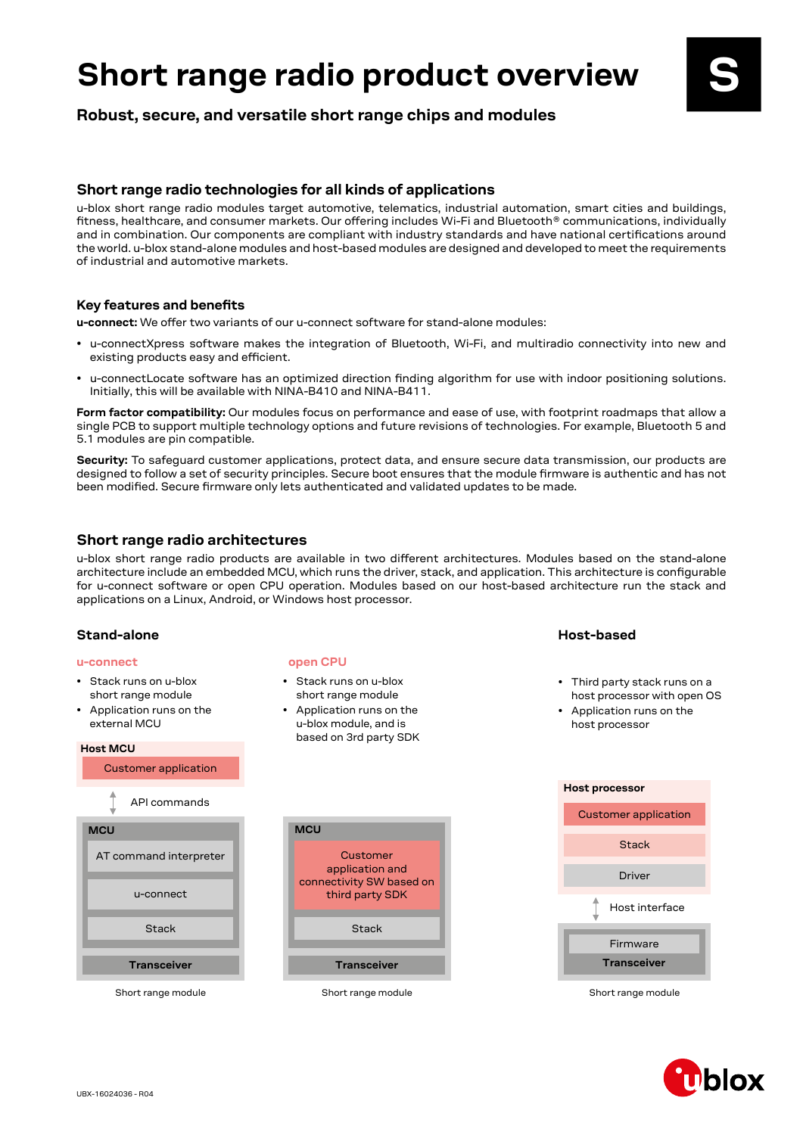# **Short range radio product overview** Short range radio product overview<br>Robust, secure, and versatile short range chips and modules

#### **Short range radio technologies for all kinds of applications**

u-blox short range radio modules target automotive, telematics, industrial automation, smart cities and buildings, fitness, healthcare, and consumer markets. Our offering includes Wi-Fi and Bluetooth® communications, individually and in combination. Our components are compliant with industry standards and have national certifications around the world. u-blox stand-alone modules and host-based modules are designed and developed to meet the requirements of industrial and automotive markets.

#### **Key features and benefits**

**u-connect:** We offer two variants of our u-connect software for stand-alone modules:

- u-connectXpress software makes the integration of Bluetooth, Wi-Fi, and multiradio connectivity into new and existing products easy and efficient.
- u-connectLocate software has an optimized direction finding algorithm for use with indoor positioning solutions. Initially, this will be available with NINA-B410 and NINA-B411.

**Form factor compatibility:** Our modules focus on performance and ease of use, with footprint roadmaps that allow a single PCB to support multiple technology options and future revisions of technologies. For example, Bluetooth 5 and 5.1 modules are pin compatible.

**Security:** To safeguard customer applications, protect data, and ensure secure data transmission, our products are designed to follow a set of security principles. Secure boot ensures that the module firmware is authentic and has not been modified. Secure firmware only lets authenticated and validated updates to be made.

#### **Short range radio architectures**

u-blox short range radio products are available in two different architectures. Modules based on the stand-alone architecture include an embedded MCU, which runs the driver, stack, and application. This architecture is configurable for u-connect software or open CPU operation. Modules based on our host-based architecture run the stack and applications on a Linux, Android, or Windows host processor.

#### **Stand-alone Host-based**

#### **u-connect**

- Stack runs on u-blox short range module
- Application runs on the external MCU

#### **Host MCU**



Short range module

#### **open CPU**

- Stack runs on u-blox short range module
- Application runs on the u-blox module, and is based on 3rd party SDK

- Third party stack runs on a host processor with open OS
- Application runs on the host processor





Short range module

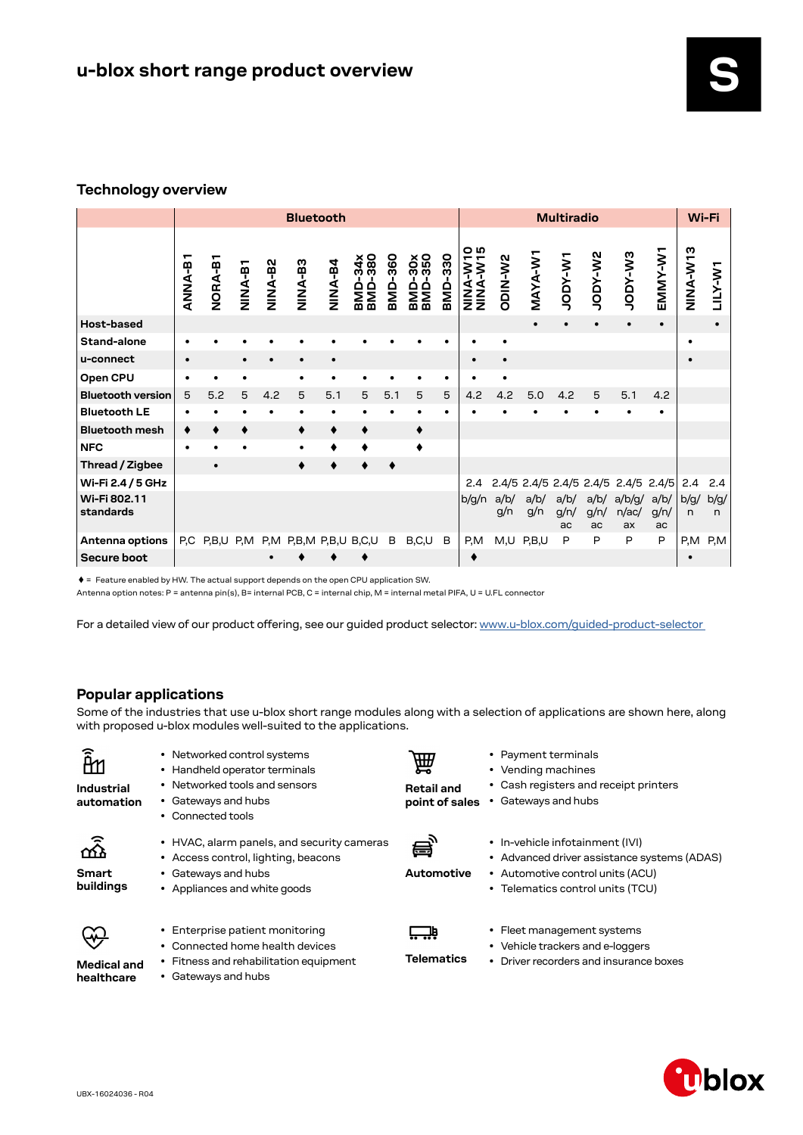### **Technology overview**

|                           | <b>Bluetooth</b> |           |        |                |                |           |                                     | <b>Multiradio</b> |                                   |           |                  |             |             | Wi-Fi              |                    |                                     |                    |                  |           |
|---------------------------|------------------|-----------|--------|----------------|----------------|-----------|-------------------------------------|-------------------|-----------------------------------|-----------|------------------|-------------|-------------|--------------------|--------------------|-------------------------------------|--------------------|------------------|-----------|
|                           | <b>ANNA-B</b>    | NORA-B1   | NINA-B | <b>NINA-B2</b> | <b>ES-ANIN</b> | NINA-B4   | BMD-34x<br>BMD-380                  | -360<br>OMB       | -30x<br>-350<br>ONB<br>BND<br>BND | BMD-330   | ဝ ဖ<br>NINA-W-19 | ODIN-W2     | MAYA-W1     | W-YOOL             | SM-Ador            | EM-Ador                             | EMMY-W1            | <b>SLN-Y-NIN</b> | LILY-W1   |
| Host-based                |                  |           |        |                |                |           |                                     |                   |                                   |           |                  |             | $\bullet$   |                    | $\bullet$          |                                     |                    |                  |           |
| Stand-alone               |                  |           |        |                |                |           |                                     |                   |                                   |           |                  |             |             |                    |                    |                                     |                    | ٠                |           |
| u-connect                 |                  |           |        | $\bullet$      |                | $\bullet$ |                                     |                   |                                   |           | $\bullet$        | $\bullet$   |             |                    |                    |                                     |                    |                  |           |
| Open CPU                  |                  | ٠         |        |                |                |           |                                     |                   |                                   | ٠         |                  |             |             |                    |                    |                                     |                    |                  |           |
| <b>Bluetooth version</b>  | 5                | 5.2       | 5      | 4.2            | 5              | 5.1       | 5                                   | 5.1               | 5                                 | 5         | 4.2              | 4.2         | 5.0         | 4.2                | 5                  | 5.1                                 | 4.2                |                  |           |
| <b>Bluetooth LE</b>       | ٠                |           |        |                |                |           |                                     |                   |                                   | $\bullet$ |                  |             |             |                    |                    |                                     |                    |                  |           |
| <b>Bluetooth mesh</b>     | ٠                |           |        |                |                | ٠         | ٠                                   |                   | ٠                                 |           |                  |             |             |                    |                    |                                     |                    |                  |           |
| <b>NFC</b>                | $\bullet$        |           |        |                |                |           |                                     |                   |                                   |           |                  |             |             |                    |                    |                                     |                    |                  |           |
| Thread / Zigbee           |                  | $\bullet$ |        |                |                |           |                                     |                   |                                   |           |                  |             |             |                    |                    |                                     |                    |                  |           |
| Wi-Fi 2.4 / 5 GHz         |                  |           |        |                |                |           |                                     |                   |                                   |           | 2.4              |             |             |                    |                    | 2.4/5 2.4/5 2.4/5 2.4/5 2.4/5 2.4/5 |                    | 2.4              | 2.4       |
| Wi-Fi 802.11<br>standards |                  |           |        |                |                |           |                                     |                   |                                   |           | b/g/n            | a/b/<br>g/n | a/b/<br>g/n | a/b/<br>g/n/<br>ac | a/b/<br>g/n/<br>ac | a/b/g/<br>n/ac/<br>ax               | a/b/<br>g/n/<br>ac | b/g/<br>n        | b/g/<br>n |
| Antenna options           |                  |           |        |                |                |           | P,C P,B,U P,M P,M P,B,M P,B,U B,C,U | В                 | B,C,U                             | B         | P,M              |             | $M,U$ P,B,U | P                  | P                  | P                                   | P                  | P,M              | P, M      |
| Secure boot               |                  |           |        |                |                |           |                                     |                   |                                   |           |                  |             |             |                    |                    |                                     |                    |                  |           |

 $\blacklozenge$  = Feature enabled by HW. The actual support depends on the open CPU application SW.

Antenna option notes: P = antenna pin(s), B= internal PCB, C = internal chip, M = internal metal PIFA, U = U.FL connector

For a detailed view of our product offering, see our guided product selector: www.u-blox.com/guided-product-selector

## **Popular applications**

Some of the industries that use u-blox short range modules along with a selection of applications are shown here, along with proposed u-blox modules well-suited to the applications.

| Industrial<br>automation             | • Networked control systems<br>• Handheld operator terminals<br>• Networked tools and sensors<br>Gateways and hubs<br>$\bullet$<br>Connected tools  | 圇<br><b>Retail and</b><br>point of sales | • Payment terminals<br>• Vending machines<br>• Cash registers and receipt printers<br>• Gateways and hubs                                              |
|--------------------------------------|-----------------------------------------------------------------------------------------------------------------------------------------------------|------------------------------------------|--------------------------------------------------------------------------------------------------------------------------------------------------------|
| ਾ<br>ਘੁ<br><b>Smart</b><br>buildings | • HVAC, alarm panels, and security cameras<br>• Access control, lighting, beacons<br>Gateways and hubs<br>$\bullet$<br>• Appliances and white goods | 昌<br>Automotive                          | • In-vehicle infotainment (IVI)<br>• Advanced driver assistance systems (ADAS)<br>• Automotive control units (ACU)<br>• Telematics control units (TCU) |
| <b>Medical and</b><br>healthcare     | • Enterprise patient monitoring<br>Connected home health devices<br>Fitness and rehabilitation equipment<br>٠<br>Gateways and hubs                  | <b>Telematics</b>                        | • Fleet management systems<br>• Vehicle trackers and e-loggers<br>• Driver recorders and insurance boxes                                               |

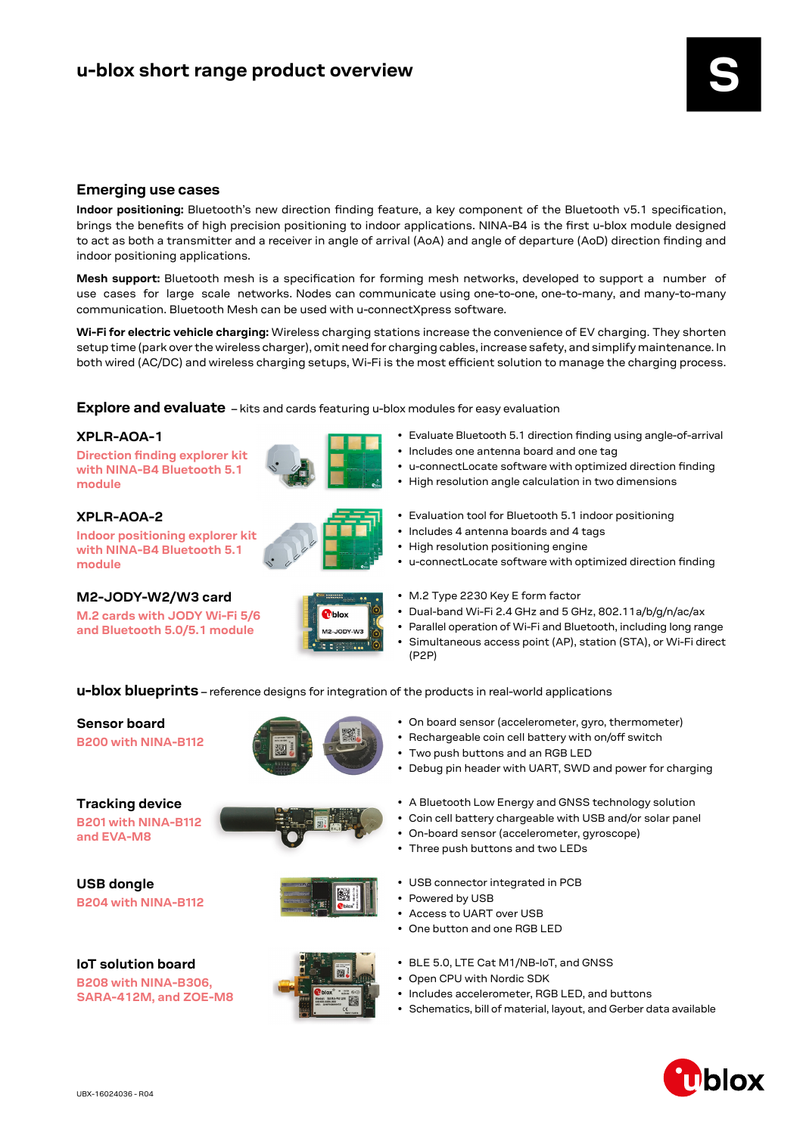#### **Emerging use cases**

**Indoor positioning:** Bluetooth's new direction finding feature, a key component of the Bluetooth v5.1 specification, brings the benefits of high precision positioning to indoor applications. NINA-B4 is the first u-blox module designed to act as both a transmitter and a receiver in angle of arrival (AoA) and angle of departure (AoD) direction finding and indoor positioning applications.

**Mesh support:** Bluetooth mesh is a specification for forming mesh networks, developed to support a number of use cases for large scale networks. Nodes can communicate using one-to-one, one-to-many, and many-to-many communication. Bluetooth Mesh can be used with u-connectXpress software.

**Wi-Fi for electric vehicle charging:** Wireless charging stations increase the convenience of EV charging. They shorten setup time (park over the wireless charger), omit need for charging cables, increase safety, and simplify maintenance. In both wired (AC/DC) and wireless charging setups, Wi-Fi is the most efficient solution to manage the charging process.

#### **Explore and evaluate** - kits and cards featuring u-blox modules for easy evaluation

#### **XPLR-AOA-1**

**Direction finding explorer kit with NINA-B4 Bluetooth 5.1 module** 

#### **XPLR-AOA-2**

**Indoor positioning explorer kit with NINA-B4 Bluetooth 5.1 module** 

**M.2 cards with JODY Wi-Fi 5/6 and Bluetooth 5.0/5.1 module**





• u-connectLocate software with optimized direction finding

• Evaluate Bluetooth 5.1 direction finding using angle-of-arrival

- High resolution angle calculation in two dimensions
- Evaluation tool for Bluetooth 5.1 indoor positioning
- Includes 4 antenna boards and 4 tags
- High resolution positioning engine
- u-connectLocate software with optimized direction finding
- 
- **M2-JODY-W2/W3 card M.2 Type 2230 Key E form factor**

• Two push buttons and an RGB LED

• Three push buttons and two LEDs

• USB connector integrated in PCB

• Dual-band Wi-Fi 2.4 GHz and 5 GHz, 802.11a/b/g/n/ac/ax

• On board sensor (accelerometer, gyro, thermometer) • Rechargeable coin cell battery with on/off switch

• Debug pin header with UART, SWD and power for charging

• A Bluetooth Low Energy and GNSS technology solution • Coin cell battery chargeable with USB and/or solar panel

• On-board sensor (accelerometer, gyroscope)

- Parallel operation of Wi-Fi and Bluetooth, including long range
- Simultaneous access point (AP), station (STA), or Wi-Fi direct (P2P)

**u-blox blueprints** – reference designs for integration of the products in real-world applications

# **Sensor board**

**[B200 with NINA-B112](http://B200 with NINA-B112)**

#### **[B201 with NINA-B112](https://www.u-blox.com/en/product/b201)  [and EVA-M8](https://www.u-blox.com/en/product/b201) Tracking device**

**[B204 with NINA-B112](https://www.u-blox.com/en/product/b204
) USB dongle**

**[B208 with NINA-B3](https://www.u-blox.com/en/product/b204
)06, SARA-412M, and ZOE-M8**







- **IoT solution board Example 2.1 BLE 5.0, LTE Cat M1/NB-IoT, and GNSS** 
	- Open CPU with Nordic SDK

• Access to UART over USB • One button and one RGB LED

• Powered by USB

- Includes accelerometer, RGB LED, and buttons
- Schematics, bill of material, layout, and Gerber data available